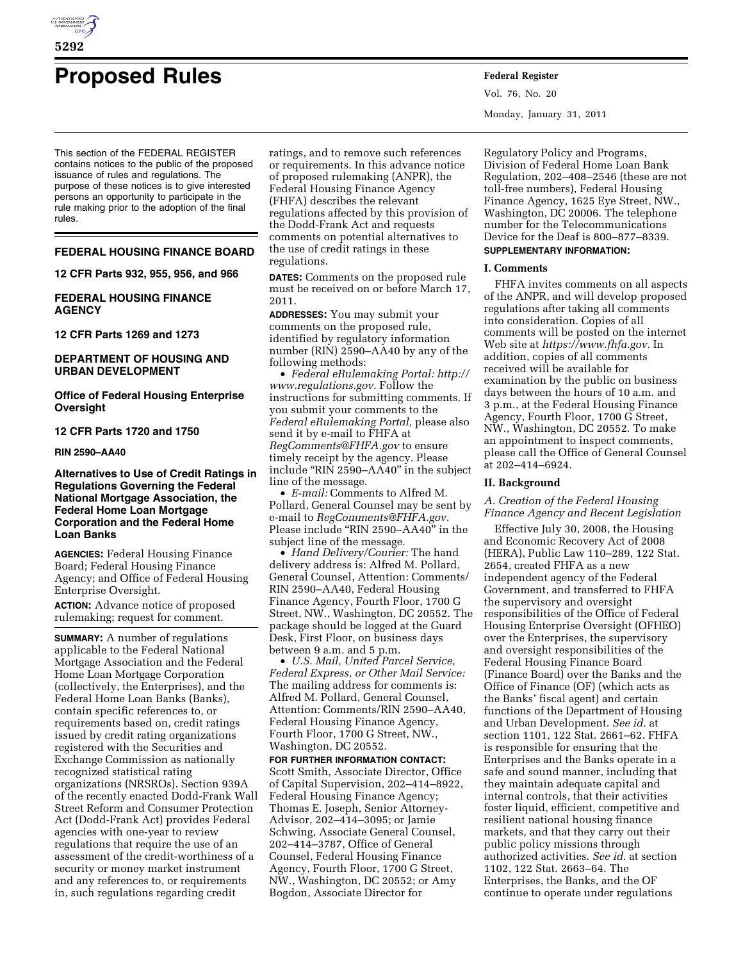

# **Proposed Rules Federal Register**

This section of the FEDERAL REGISTER contains notices to the public of the proposed issuance of rules and regulations. The purpose of these notices is to give interested persons an opportunity to participate in the rule making prior to the adoption of the final rules.

#### **FEDERAL HOUSING FINANCE BOARD**

**12 CFR Parts 932, 955, 956, and 966** 

# **FEDERAL HOUSING FINANCE AGENCY**

**12 CFR Parts 1269 and 1273** 

# **DEPARTMENT OF HOUSING AND URBAN DEVELOPMENT**

**Office of Federal Housing Enterprise Oversight** 

# **12 CFR Parts 1720 and 1750**

**RIN 2590–AA40** 

**Alternatives to Use of Credit Ratings in Regulations Governing the Federal National Mortgage Association, the Federal Home Loan Mortgage Corporation and the Federal Home Loan Banks** 

**AGENCIES:** Federal Housing Finance Board; Federal Housing Finance Agency; and Office of Federal Housing Enterprise Oversight.

**ACTION:** Advance notice of proposed rulemaking; request for comment.

**SUMMARY:** A number of regulations applicable to the Federal National Mortgage Association and the Federal Home Loan Mortgage Corporation (collectively, the Enterprises), and the Federal Home Loan Banks (Banks), contain specific references to, or requirements based on, credit ratings issued by credit rating organizations registered with the Securities and Exchange Commission as nationally recognized statistical rating organizations (NRSROs). Section 939A of the recently enacted Dodd-Frank Wall Street Reform and Consumer Protection Act (Dodd-Frank Act) provides Federal agencies with one-year to review regulations that require the use of an assessment of the credit-worthiness of a security or money market instrument and any references to, or requirements in, such regulations regarding credit

ratings, and to remove such references or requirements. In this advance notice of proposed rulemaking (ANPR), the Federal Housing Finance Agency (FHFA) describes the relevant regulations affected by this provision of the Dodd-Frank Act and requests comments on potential alternatives to the use of credit ratings in these regulations.

**DATES:** Comments on the proposed rule must be received on or before March 17, 2011.

**ADDRESSES:** You may submit your comments on the proposed rule, identified by regulatory information number (RIN) 2590–AA40 by any of the following methods:

• *Federal eRulemaking Portal: [http://](http://www.regulations.gov)  [www.regulations.gov.](http://www.regulations.gov)* Follow the instructions for submitting comments. If you submit your comments to the *Federal eRulemaking Portal,* please also send it by e-mail to FHFA at *[RegComments@FHFA.gov](mailto:RegComments@FHFA.gov)* to ensure timely receipt by the agency. Please include ''RIN 2590–AA40'' in the subject line of the message.

• *E-mail:* Comments to Alfred M. Pollard, General Counsel may be sent by e-mail to *[RegComments@FHFA.gov.](mailto:RegComments@FHFA.gov)*  Please include "RIN 2590-AA40" in the subject line of the message.

• *Hand Delivery/Courier:* The hand delivery address is: Alfred M. Pollard, General Counsel, Attention: Comments/ RIN 2590–AA40, Federal Housing Finance Agency, Fourth Floor, 1700 G Street, NW., Washington, DC 20552. The package should be logged at the Guard Desk, First Floor, on business days between 9 a.m. and 5 p.m.

• *U.S. Mail, United Parcel Service, Federal Express, or Other Mail Service:*  The mailing address for comments is: Alfred M. Pollard, General Counsel, Attention: Comments/RIN 2590–AA40, Federal Housing Finance Agency, Fourth Floor, 1700 G Street, NW., Washington, DC 20552.

**FOR FURTHER INFORMATION CONTACT:**  Scott Smith, Associate Director, Office of Capital Supervision, 202–414–8922, Federal Housing Finance Agency; Thomas E. Joseph, Senior Attorney-Advisor, 202–414–3095; or Jamie Schwing, Associate General Counsel, 202–414–3787, Office of General Counsel, Federal Housing Finance Agency, Fourth Floor, 1700 G Street, NW., Washington, DC 20552; or Amy Bogdon, Associate Director for

Vol. 76, No. 20 Monday, January 31, 2011

Regulatory Policy and Programs, Division of Federal Home Loan Bank Regulation, 202–408–2546 (these are not toll-free numbers), Federal Housing Finance Agency, 1625 Eye Street, NW., Washington, DC 20006. The telephone number for the Telecommunications Device for the Deaf is 800–877–8339. **SUPPLEMENTARY INFORMATION:** 

# **I. Comments**

FHFA invites comments on all aspects of the ANPR, and will develop proposed regulations after taking all comments into consideration. Copies of all comments will be posted on the internet Web site at *[https://www.fhfa.gov.](https://www.fhfa.gov)* In addition, copies of all comments received will be available for examination by the public on business days between the hours of 10 a.m. and 3 p.m., at the Federal Housing Finance Agency, Fourth Floor, 1700 G Street, NW., Washington, DC 20552. To make an appointment to inspect comments, please call the Office of General Counsel at 202–414–6924.

#### **II. Background**

# *A. Creation of the Federal Housing Finance Agency and Recent Legislation*

Effective July 30, 2008, the Housing and Economic Recovery Act of 2008 (HERA), Public Law 110–289, 122 Stat. 2654, created FHFA as a new independent agency of the Federal Government, and transferred to FHFA the supervisory and oversight responsibilities of the Office of Federal Housing Enterprise Oversight (OFHEO) over the Enterprises, the supervisory and oversight responsibilities of the Federal Housing Finance Board (Finance Board) over the Banks and the Office of Finance (OF) (which acts as the Banks' fiscal agent) and certain functions of the Department of Housing and Urban Development. *See id.* at section 1101, 122 Stat. 2661–62. FHFA is responsible for ensuring that the Enterprises and the Banks operate in a safe and sound manner, including that they maintain adequate capital and internal controls, that their activities foster liquid, efficient, competitive and resilient national housing finance markets, and that they carry out their public policy missions through authorized activities. *See id.* at section 1102, 122 Stat. 2663–64. The Enterprises, the Banks, and the OF continue to operate under regulations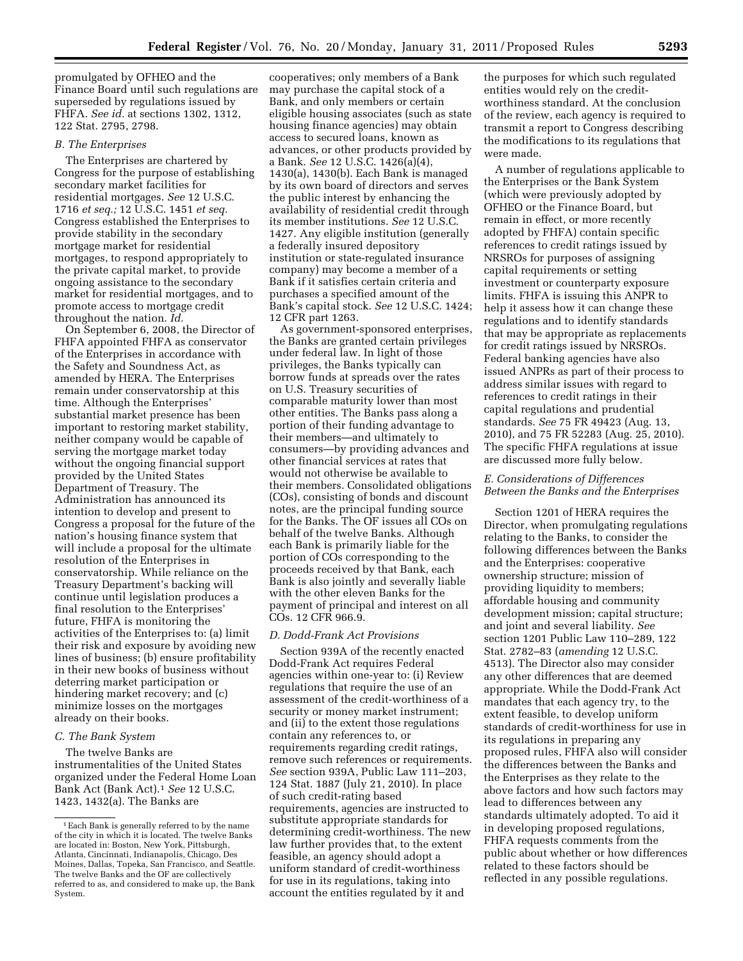promulgated by OFHEO and the Finance Board until such regulations are superseded by regulations issued by FHFA. *See id.* at sections 1302, 1312, 122 Stat. 2795, 2798.

#### *B. The Enterprises*

The Enterprises are chartered by Congress for the purpose of establishing secondary market facilities for residential mortgages. *See* 12 U.S.C. 1716 *et seq.;* 12 U.S.C. 1451 *et seq.*  Congress established the Enterprises to provide stability in the secondary mortgage market for residential mortgages, to respond appropriately to the private capital market, to provide ongoing assistance to the secondary market for residential mortgages, and to promote access to mortgage credit throughout the nation. *Id.* 

On September 6, 2008, the Director of FHFA appointed FHFA as conservator of the Enterprises in accordance with the Safety and Soundness Act, as amended by HERA. The Enterprises remain under conservatorship at this time. Although the Enterprises' substantial market presence has been important to restoring market stability, neither company would be capable of serving the mortgage market today without the ongoing financial support provided by the United States Department of Treasury. The Administration has announced its intention to develop and present to Congress a proposal for the future of the nation's housing finance system that will include a proposal for the ultimate resolution of the Enterprises in conservatorship. While reliance on the Treasury Department's backing will continue until legislation produces a final resolution to the Enterprises' future, FHFA is monitoring the activities of the Enterprises to: (a) limit their risk and exposure by avoiding new lines of business; (b) ensure profitability in their new books of business without deterring market participation or hindering market recovery; and (c) minimize losses on the mortgages already on their books.

# *C. The Bank System*

The twelve Banks are instrumentalities of the United States organized under the Federal Home Loan Bank Act (Bank Act).1 *See* 12 U.S.C. 1423, 1432(a). The Banks are

cooperatives; only members of a Bank may purchase the capital stock of a Bank, and only members or certain eligible housing associates (such as state housing finance agencies) may obtain access to secured loans, known as advances, or other products provided by a Bank. *See* 12 U.S.C. 1426(a)(4), 1430(a), 1430(b). Each Bank is managed by its own board of directors and serves the public interest by enhancing the availability of residential credit through its member institutions. *See* 12 U.S.C. 1427. Any eligible institution (generally a federally insured depository institution or state-regulated insurance company) may become a member of a Bank if it satisfies certain criteria and purchases a specified amount of the Bank's capital stock. *See* 12 U.S.C. 1424; 12 CFR part 1263.

As government-sponsored enterprises, the Banks are granted certain privileges under federal law. In light of those privileges, the Banks typically can borrow funds at spreads over the rates on U.S. Treasury securities of comparable maturity lower than most other entities. The Banks pass along a portion of their funding advantage to their members—and ultimately to consumers—by providing advances and other financial services at rates that would not otherwise be available to their members. Consolidated obligations (COs), consisting of bonds and discount notes, are the principal funding source for the Banks. The OF issues all COs on behalf of the twelve Banks. Although each Bank is primarily liable for the portion of COs corresponding to the proceeds received by that Bank, each Bank is also jointly and severally liable with the other eleven Banks for the payment of principal and interest on all COs. 12 CFR 966.9.

#### *D. Dodd-Frank Act Provisions*

Section 939A of the recently enacted Dodd-Frank Act requires Federal agencies within one-year to: (i) Review regulations that require the use of an assessment of the credit-worthiness of a security or money market instrument; and (ii) to the extent those regulations contain any references to, or requirements regarding credit ratings, remove such references or requirements. *See* section 939A, Public Law 111–203, 124 Stat. 1887 (July 21, 2010). In place of such credit-rating based requirements, agencies are instructed to substitute appropriate standards for determining credit-worthiness. The new law further provides that, to the extent feasible, an agency should adopt a uniform standard of credit-worthiness for use in its regulations, taking into account the entities regulated by it and

the purposes for which such regulated entities would rely on the creditworthiness standard. At the conclusion of the review, each agency is required to transmit a report to Congress describing the modifications to its regulations that were made.

A number of regulations applicable to the Enterprises or the Bank System (which were previously adopted by OFHEO or the Finance Board, but remain in effect, or more recently adopted by FHFA) contain specific references to credit ratings issued by NRSROs for purposes of assigning capital requirements or setting investment or counterparty exposure limits. FHFA is issuing this ANPR to help it assess how it can change these regulations and to identify standards that may be appropriate as replacements for credit ratings issued by NRSROs. Federal banking agencies have also issued ANPRs as part of their process to address similar issues with regard to references to credit ratings in their capital regulations and prudential standards. *See* 75 FR 49423 (Aug. 13, 2010), and 75 FR 52283 (Aug. 25, 2010). The specific FHFA regulations at issue are discussed more fully below.

# *E. Considerations of Differences Between the Banks and the Enterprises*

Section 1201 of HERA requires the Director, when promulgating regulations relating to the Banks, to consider the following differences between the Banks and the Enterprises: cooperative ownership structure; mission of providing liquidity to members; affordable housing and community development mission; capital structure; and joint and several liability. *See*  section 1201 Public Law 110–289, 122 Stat. 2782–83 (*amending* 12 U.S.C. 4513). The Director also may consider any other differences that are deemed appropriate. While the Dodd-Frank Act mandates that each agency try, to the extent feasible, to develop uniform standards of credit-worthiness for use in its regulations in preparing any proposed rules, FHFA also will consider the differences between the Banks and the Enterprises as they relate to the above factors and how such factors may lead to differences between any standards ultimately adopted. To aid it in developing proposed regulations, FHFA requests comments from the public about whether or how differences related to these factors should be reflected in any possible regulations.

<sup>1</sup>Each Bank is generally referred to by the name of the city in which it is located. The twelve Banks are located in: Boston, New York, Pittsburgh, Atlanta, Cincinnati, Indianapolis, Chicago, Des Moines, Dallas, Topeka, San Francisco, and Seattle. The twelve Banks and the OF are collectively referred to as, and considered to make up, the Bank System.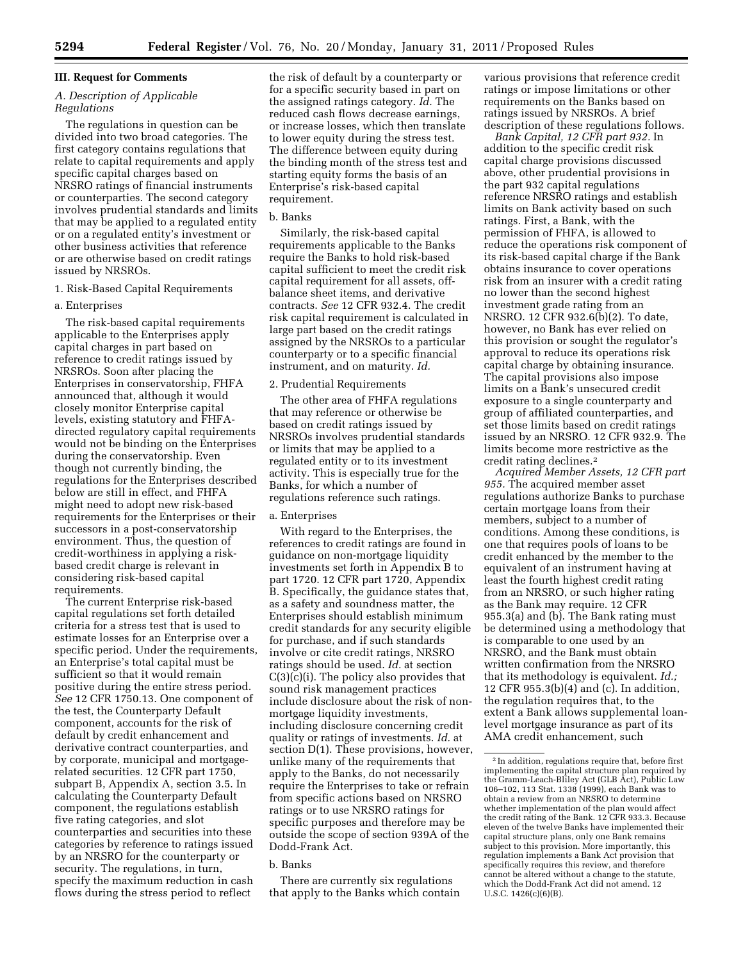#### **III. Request for Comments**

# *A. Description of Applicable Regulations*

The regulations in question can be divided into two broad categories. The first category contains regulations that relate to capital requirements and apply specific capital charges based on NRSRO ratings of financial instruments or counterparties. The second category involves prudential standards and limits that may be applied to a regulated entity or on a regulated entity's investment or other business activities that reference or are otherwise based on credit ratings issued by NRSROs.

# 1. Risk-Based Capital Requirements

#### a. Enterprises

The risk-based capital requirements applicable to the Enterprises apply capital charges in part based on reference to credit ratings issued by NRSROs. Soon after placing the Enterprises in conservatorship, FHFA announced that, although it would closely monitor Enterprise capital levels, existing statutory and FHFAdirected regulatory capital requirements would not be binding on the Enterprises during the conservatorship. Even though not currently binding, the regulations for the Enterprises described below are still in effect, and FHFA might need to adopt new risk-based requirements for the Enterprises or their successors in a post-conservatorship environment. Thus, the question of credit-worthiness in applying a riskbased credit charge is relevant in considering risk-based capital requirements.

The current Enterprise risk-based capital regulations set forth detailed criteria for a stress test that is used to estimate losses for an Enterprise over a specific period. Under the requirements, an Enterprise's total capital must be sufficient so that it would remain positive during the entire stress period. *See* 12 CFR 1750.13. One component of the test, the Counterparty Default component, accounts for the risk of default by credit enhancement and derivative contract counterparties, and by corporate, municipal and mortgagerelated securities. 12 CFR part 1750, subpart B, Appendix A, section 3.5. In calculating the Counterparty Default component, the regulations establish five rating categories, and slot counterparties and securities into these categories by reference to ratings issued by an NRSRO for the counterparty or security. The regulations, in turn, specify the maximum reduction in cash flows during the stress period to reflect

the risk of default by a counterparty or for a specific security based in part on the assigned ratings category. *Id.* The reduced cash flows decrease earnings, or increase losses, which then translate to lower equity during the stress test. The difference between equity during the binding month of the stress test and starting equity forms the basis of an Enterprise's risk-based capital requirement.

#### b. Banks

Similarly, the risk-based capital requirements applicable to the Banks require the Banks to hold risk-based capital sufficient to meet the credit risk capital requirement for all assets, offbalance sheet items, and derivative contracts. *See* 12 CFR 932.4. The credit risk capital requirement is calculated in large part based on the credit ratings assigned by the NRSROs to a particular counterparty or to a specific financial instrument, and on maturity. *Id.* 

#### 2. Prudential Requirements

The other area of FHFA regulations that may reference or otherwise be based on credit ratings issued by NRSROs involves prudential standards or limits that may be applied to a regulated entity or to its investment activity. This is especially true for the Banks, for which a number of regulations reference such ratings.

#### a. Enterprises

With regard to the Enterprises, the references to credit ratings are found in guidance on non-mortgage liquidity investments set forth in Appendix B to part 1720. 12 CFR part 1720, Appendix B. Specifically, the guidance states that, as a safety and soundness matter, the Enterprises should establish minimum credit standards for any security eligible for purchase, and if such standards involve or cite credit ratings, NRSRO ratings should be used. *Id.* at section C(3)(c)(i). The policy also provides that sound risk management practices include disclosure about the risk of nonmortgage liquidity investments, including disclosure concerning credit quality or ratings of investments. *Id.* at section D(1). These provisions, however, unlike many of the requirements that apply to the Banks, do not necessarily require the Enterprises to take or refrain from specific actions based on NRSRO ratings or to use NRSRO ratings for specific purposes and therefore may be outside the scope of section 939A of the Dodd-Frank Act.

#### b. Banks

There are currently six regulations that apply to the Banks which contain various provisions that reference credit ratings or impose limitations or other requirements on the Banks based on ratings issued by NRSROs. A brief description of these regulations follows.

*Bank Capital, 12 CFR part 932.* In addition to the specific credit risk capital charge provisions discussed above, other prudential provisions in the part 932 capital regulations reference NRSRO ratings and establish limits on Bank activity based on such ratings. First, a Bank, with the permission of FHFA, is allowed to reduce the operations risk component of its risk-based capital charge if the Bank obtains insurance to cover operations risk from an insurer with a credit rating no lower than the second highest investment grade rating from an NRSRO. 12 CFR 932.6(b)(2). To date, however, no Bank has ever relied on this provision or sought the regulator's approval to reduce its operations risk capital charge by obtaining insurance. The capital provisions also impose limits on a Bank's unsecured credit exposure to a single counterparty and group of affiliated counterparties, and set those limits based on credit ratings issued by an NRSRO. 12 CFR 932.9. The limits become more restrictive as the credit rating declines.2

*Acquired Member Assets, 12 CFR part 955.* The acquired member asset regulations authorize Banks to purchase certain mortgage loans from their members, subject to a number of conditions. Among these conditions, is one that requires pools of loans to be credit enhanced by the member to the equivalent of an instrument having at least the fourth highest credit rating from an NRSRO, or such higher rating as the Bank may require. 12 CFR 955.3(a) and (b). The Bank rating must be determined using a methodology that is comparable to one used by an NRSRO, and the Bank must obtain written confirmation from the NRSRO that its methodology is equivalent. *Id.;*  12 CFR 955.3(b)(4) and (c). In addition, the regulation requires that, to the extent a Bank allows supplemental loanlevel mortgage insurance as part of its AMA credit enhancement, such

 $^{\rm 2}$  In addition, regulations require that, before first implementing the capital structure plan required by the Gramm-Leach-Bliley Act (GLB Act), Public Law 106–102, 113 Stat. 1338 (1999), each Bank was to obtain a review from an NRSRO to determine whether implementation of the plan would affect the credit rating of the Bank. 12 CFR 933.3. Because eleven of the twelve Banks have implemented their capital structure plans, only one Bank remains subject to this provision. More importantly, this regulation implements a Bank Act provision that specifically requires this review, and therefore cannot be altered without a change to the statute, which the Dodd-Frank Act did not amend. 12 U.S.C. 1426(c)(6)(B).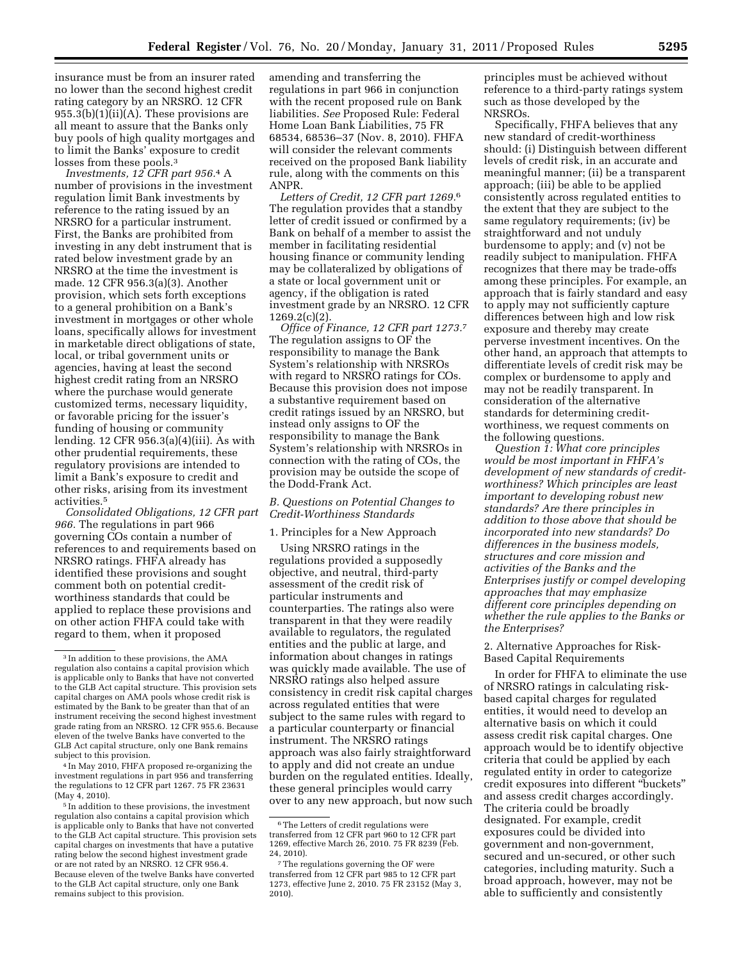insurance must be from an insurer rated no lower than the second highest credit rating category by an NRSRO. 12 CFR 955.3(b)(1)(ii)(A). These provisions are all meant to assure that the Banks only buy pools of high quality mortgages and to limit the Banks' exposure to credit losses from these pools.3

*Investments, 12 CFR part 956.*4 A number of provisions in the investment regulation limit Bank investments by reference to the rating issued by an NRSRO for a particular instrument. First, the Banks are prohibited from investing in any debt instrument that is rated below investment grade by an NRSRO at the time the investment is made. 12 CFR 956.3(a)(3). Another provision, which sets forth exceptions to a general prohibition on a Bank's investment in mortgages or other whole loans, specifically allows for investment in marketable direct obligations of state, local, or tribal government units or agencies, having at least the second highest credit rating from an NRSRO where the purchase would generate customized terms, necessary liquidity, or favorable pricing for the issuer's funding of housing or community lending. 12 CFR 956.3(a)(4)(iii). As with other prudential requirements, these regulatory provisions are intended to limit a Bank's exposure to credit and other risks, arising from its investment activities.5

*Consolidated Obligations, 12 CFR part 966.* The regulations in part 966 governing COs contain a number of references to and requirements based on NRSRO ratings. FHFA already has identified these provisions and sought comment both on potential creditworthiness standards that could be applied to replace these provisions and on other action FHFA could take with regard to them, when it proposed

4 In May 2010, FHFA proposed re-organizing the investment regulations in part 956 and transferring the regulations to 12 CFR part 1267. 75 FR 23631 (May 4, 2010).

5 In addition to these provisions, the investment regulation also contains a capital provision which is applicable only to Banks that have not converted to the GLB Act capital structure. This provision sets capital charges on investments that have a putative rating below the second highest investment grade or are not rated by an NRSRO. 12 CFR 956.4. Because eleven of the twelve Banks have converted to the GLB Act capital structure, only one Bank remains subject to this provision.

amending and transferring the regulations in part 966 in conjunction with the recent proposed rule on Bank liabilities. *See* Proposed Rule: Federal Home Loan Bank Liabilities, 75 FR 68534, 68536–37 (Nov. 8, 2010). FHFA will consider the relevant comments received on the proposed Bank liability rule, along with the comments on this ANPR.

*Letters of Credit, 12 CFR part 1269.*6 The regulation provides that a standby letter of credit issued or confirmed by a Bank on behalf of a member to assist the member in facilitating residential housing finance or community lending may be collateralized by obligations of a state or local government unit or agency, if the obligation is rated investment grade by an NRSRO. 12 CFR 1269.2(c)(2).

*Office of Finance, 12 CFR part 1273.*7 The regulation assigns to OF the responsibility to manage the Bank System's relationship with NRSROs with regard to NRSRO ratings for COs. Because this provision does not impose a substantive requirement based on credit ratings issued by an NRSRO, but instead only assigns to OF the responsibility to manage the Bank System's relationship with NRSROs in connection with the rating of COs, the provision may be outside the scope of the Dodd-Frank Act.

# *B. Questions on Potential Changes to Credit-Worthiness Standards*

# 1. Principles for a New Approach

Using NRSRO ratings in the regulations provided a supposedly objective, and neutral, third-party assessment of the credit risk of particular instruments and counterparties. The ratings also were transparent in that they were readily available to regulators, the regulated entities and the public at large, and information about changes in ratings was quickly made available. The use of NRSRO ratings also helped assure consistency in credit risk capital charges across regulated entities that were subject to the same rules with regard to a particular counterparty or financial instrument. The NRSRO ratings approach was also fairly straightforward to apply and did not create an undue burden on the regulated entities. Ideally, these general principles would carry over to any new approach, but now such

principles must be achieved without reference to a third-party ratings system such as those developed by the NRSROs.

Specifically, FHFA believes that any new standard of credit-worthiness should: (i) Distinguish between different levels of credit risk, in an accurate and meaningful manner; (ii) be a transparent approach; (iii) be able to be applied consistently across regulated entities to the extent that they are subject to the same regulatory requirements; (iv) be straightforward and not unduly burdensome to apply; and (v) not be readily subject to manipulation. FHFA recognizes that there may be trade-offs among these principles. For example, an approach that is fairly standard and easy to apply may not sufficiently capture differences between high and low risk exposure and thereby may create perverse investment incentives. On the other hand, an approach that attempts to differentiate levels of credit risk may be complex or burdensome to apply and may not be readily transparent. In consideration of the alternative standards for determining creditworthiness, we request comments on the following questions.

*Question 1: What core principles would be most important in FHFA's development of new standards of creditworthiness? Which principles are least important to developing robust new standards? Are there principles in addition to those above that should be incorporated into new standards? Do differences in the business models, structures and core mission and activities of the Banks and the Enterprises justify or compel developing approaches that may emphasize different core principles depending on whether the rule applies to the Banks or the Enterprises?* 

2. Alternative Approaches for Risk-Based Capital Requirements

In order for FHFA to eliminate the use of NRSRO ratings in calculating riskbased capital charges for regulated entities, it would need to develop an alternative basis on which it could assess credit risk capital charges. One approach would be to identify objective criteria that could be applied by each regulated entity in order to categorize credit exposures into different ''buckets'' and assess credit charges accordingly. The criteria could be broadly designated. For example, credit exposures could be divided into government and non-government, secured and un-secured, or other such categories, including maturity. Such a broad approach, however, may not be able to sufficiently and consistently

<sup>3</sup> In addition to these provisions, the AMA regulation also contains a capital provision which is applicable only to Banks that have not converted to the GLB Act capital structure. This provision sets capital charges on AMA pools whose credit risk is estimated by the Bank to be greater than that of an instrument receiving the second highest investment grade rating from an NRSRO. 12 CFR 955.6. Because eleven of the twelve Banks have converted to the GLB Act capital structure, only one Bank remains subject to this provision.

 $^{\rm 6}$  The Letters of credit regulations were transferred from 12 CFR part 960 to 12 CFR part 1269, effective March 26, 2010. 75 FR 8239 (Feb. 24, 2010).

<sup>7</sup>The regulations governing the OF were transferred from 12 CFR part 985 to 12 CFR part 1273, effective June 2, 2010. 75 FR 23152 (May 3, 2010).